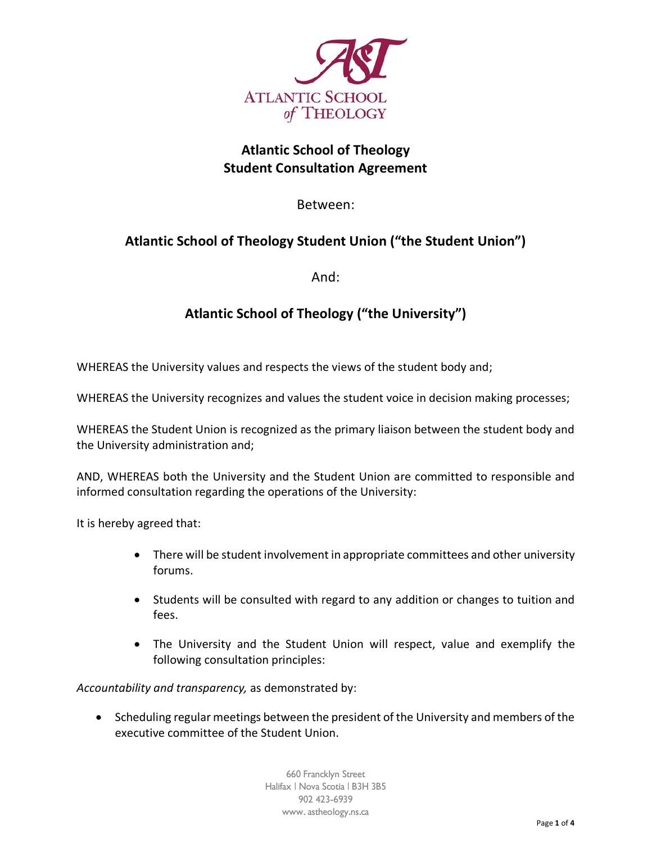

# **Atlantic School of Theology Student Consultation Agreement**

Between:

# **Atlantic School of Theology Student Union ("the Student Union")**

And:

# **Atlantic School of Theology ("the University")**

WHEREAS the University values and respects the views of the student body and;

WHEREAS the University recognizes and values the student voice in decision making processes;

WHEREAS the Student Union is recognized as the primary liaison between the student body and the University administration and;

AND, WHEREAS both the University and the Student Union are committed to responsible and informed consultation regarding the operations of the University:

It is hereby agreed that:

- There will be student involvement in appropriate committees and other university forums.
- Students will be consulted with regard to any addition or changes to tuition and fees.
- The University and the Student Union will respect, value and exemplify the following consultation principles:

*Accountability and transparency,* as demonstrated by:

• Scheduling regular meetings between the president of the University and members of the executive committee of the Student Union.

> 660 Francklyn Street Halifax | Nova Scotia | B3H 3B5 902 423-6939 www. astheology.ns.ca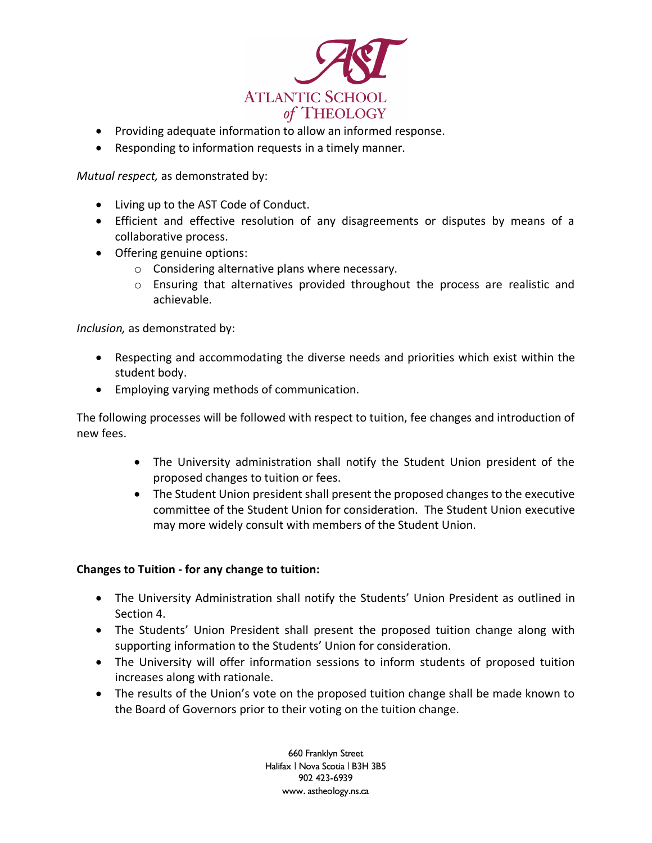

- Providing adequate information to allow an informed response.
- Responding to information requests in a timely manner.

*Mutual respect,* as demonstrated by:

- Living up to the AST Code of Conduct.
- Efficient and effective resolution of any disagreements or disputes by means of a collaborative process.
- Offering genuine options:
	- o Considering alternative plans where necessary.
	- $\circ$  Ensuring that alternatives provided throughout the process are realistic and achievable.

*Inclusion,* as demonstrated by:

- Respecting and accommodating the diverse needs and priorities which exist within the student body.
- Employing varying methods of communication.

The following processes will be followed with respect to tuition, fee changes and introduction of new fees.

- The University administration shall notify the Student Union president of the proposed changes to tuition or fees.
- The Student Union president shall present the proposed changes to the executive committee of the Student Union for consideration. The Student Union executive may more widely consult with members of the Student Union.

### **Changes to Tuition - for any change to tuition:**

- The University Administration shall notify the Students' Union President as outlined in Section 4.
- The Students' Union President shall present the proposed tuition change along with supporting information to the Students' Union for consideration.
- The University will offer information sessions to inform students of proposed tuition increases along with rationale.
- The results of the Union's vote on the proposed tuition change shall be made known to the Board of Governors prior to their voting on the tuition change.

660 Franklyn Street Halifax | Nova Scotia | B3H 3B5 902 423-6939 www. astheology.ns.ca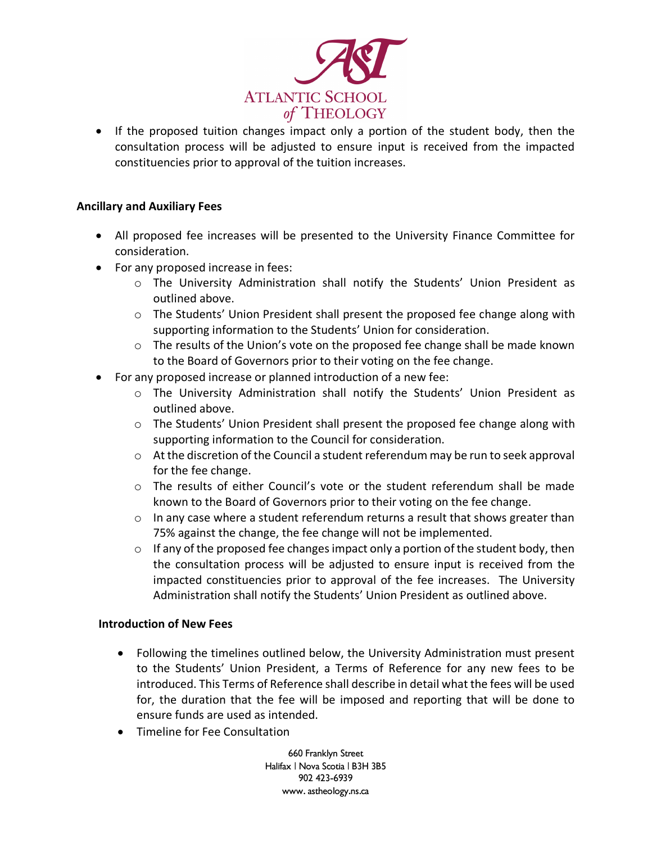

• If the proposed tuition changes impact only a portion of the student body, then the consultation process will be adjusted to ensure input is received from the impacted constituencies prior to approval of the tuition increases.

### **Ancillary and Auxiliary Fees**

- All proposed fee increases will be presented to the University Finance Committee for consideration.
- For any proposed increase in fees:
	- o The University Administration shall notify the Students' Union President as outlined above.
	- $\circ$  The Students' Union President shall present the proposed fee change along with supporting information to the Students' Union for consideration.
	- o The results of the Union's vote on the proposed fee change shall be made known to the Board of Governors prior to their voting on the fee change.
- For any proposed increase or planned introduction of a new fee:
	- o The University Administration shall notify the Students' Union President as outlined above.
	- $\circ$  The Students' Union President shall present the proposed fee change along with supporting information to the Council for consideration.
	- $\circ$  At the discretion of the Council a student referendum may be run to seek approval for the fee change.
	- $\circ$  The results of either Council's vote or the student referendum shall be made known to the Board of Governors prior to their voting on the fee change.
	- $\circ$  In any case where a student referendum returns a result that shows greater than 75% against the change, the fee change will not be implemented.
	- $\circ$  If any of the proposed fee changes impact only a portion of the student body, then the consultation process will be adjusted to ensure input is received from the impacted constituencies prior to approval of the fee increases. The University Administration shall notify the Students' Union President as outlined above.

#### **Introduction of New Fees**

- Following the timelines outlined below, the University Administration must present to the Students' Union President, a Terms of Reference for any new fees to be introduced. This Terms of Reference shall describe in detail what the fees will be used for, the duration that the fee will be imposed and reporting that will be done to ensure funds are used as intended.
- Timeline for Fee Consultation

660 Franklyn Street Halifax | Nova Scotia | B3H 3B5 902 423-6939 www. astheology.ns.ca